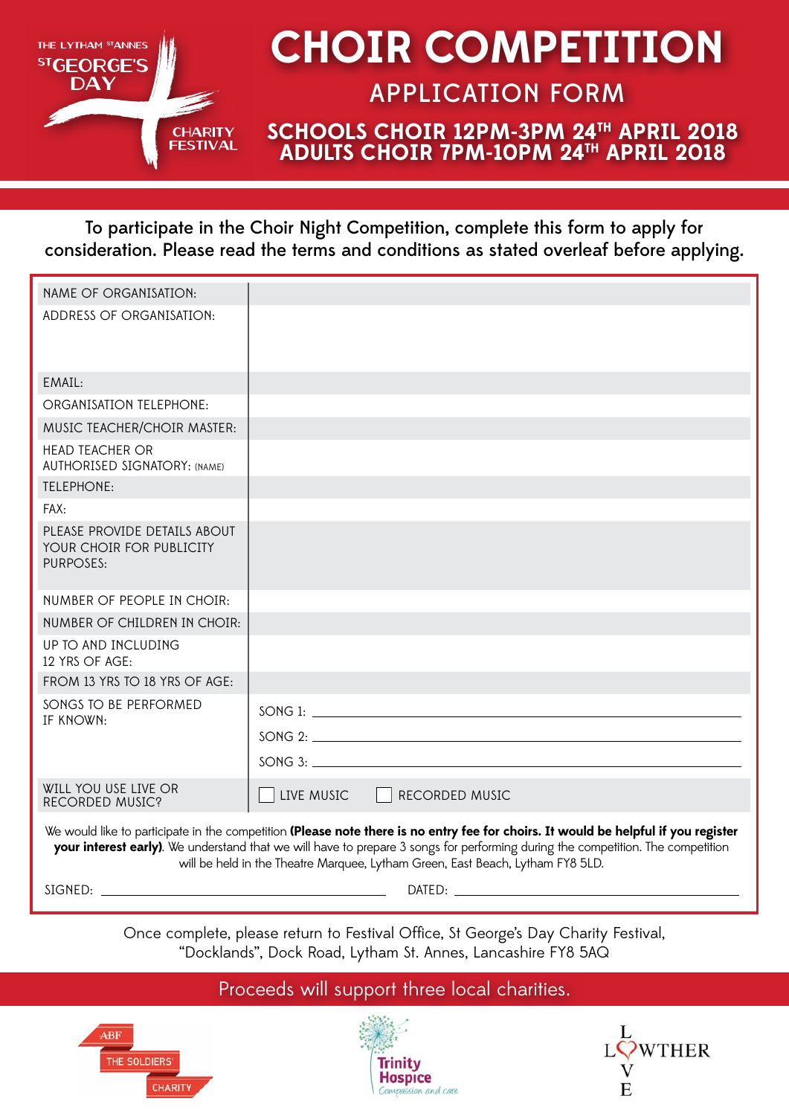

# **CHOIR COMPETITION**

### APPLICATION FORM

#### **SCHOOLS CHOIR 12PM-3PM 24TH APRIL 2018 ADULTS CHOIR 7PM-10PM 24TH APRIL 2018**

To participate in the Choir Night Competition, complete this form to apply for consideration. Please read the terms and conditions as stated overleaf before applying.

| NAME OF ORGANISATION:                                                                                                                                                                                                                                                                                                                                   |                              |
|---------------------------------------------------------------------------------------------------------------------------------------------------------------------------------------------------------------------------------------------------------------------------------------------------------------------------------------------------------|------------------------------|
| ADDRESS OF ORGANISATION:                                                                                                                                                                                                                                                                                                                                |                              |
| EMAIL:                                                                                                                                                                                                                                                                                                                                                  |                              |
| ORGANISATION TELEPHONE:                                                                                                                                                                                                                                                                                                                                 |                              |
| MUSIC TEACHER/CHOIR MASTER:                                                                                                                                                                                                                                                                                                                             |                              |
| <b>HEAD TEACHER OR</b><br><b>AUTHORISED SIGNATORY: (NAME)</b>                                                                                                                                                                                                                                                                                           |                              |
| <b>TELEPHONE:</b>                                                                                                                                                                                                                                                                                                                                       |                              |
| FAX:                                                                                                                                                                                                                                                                                                                                                    |                              |
| PLEASE PROVIDE DETAILS ABOUT<br>YOUR CHOIR FOR PUBLICITY<br><b>PURPOSES:</b>                                                                                                                                                                                                                                                                            |                              |
| NUMBER OF PEOPLE IN CHOIR:                                                                                                                                                                                                                                                                                                                              |                              |
| NUMBER OF CHILDREN IN CHOIR:                                                                                                                                                                                                                                                                                                                            |                              |
| UP TO AND INCLUDING<br>12 YRS OF AGE:                                                                                                                                                                                                                                                                                                                   |                              |
| FROM 13 YRS TO 18 YRS OF AGE:                                                                                                                                                                                                                                                                                                                           |                              |
| SONGS TO BE PERFORMED<br>IF KNOWN:                                                                                                                                                                                                                                                                                                                      |                              |
|                                                                                                                                                                                                                                                                                                                                                         |                              |
|                                                                                                                                                                                                                                                                                                                                                         |                              |
| WILL YOU USE LIVE OR<br>RECORDED MUSIC?                                                                                                                                                                                                                                                                                                                 | LIVE MUSIC<br>RECORDED MUSIC |
| We would like to participate in the competition (Please note there is no entry fee for choirs. It would be helpful if you register<br>your interest early). We understand that we will have to prepare 3 songs for performing during the competition. The competition<br>will be held in the Theatre Marquee, Lytham Green, East Beach, Lytham FY8 5LD. |                              |

SIGNED:

DATED:

Once complete, please return to Festival Office, St George's Day Charity Festival, "Docklands", Dock Road, Lytham St. Annes, Lancashire FY8 5AQ